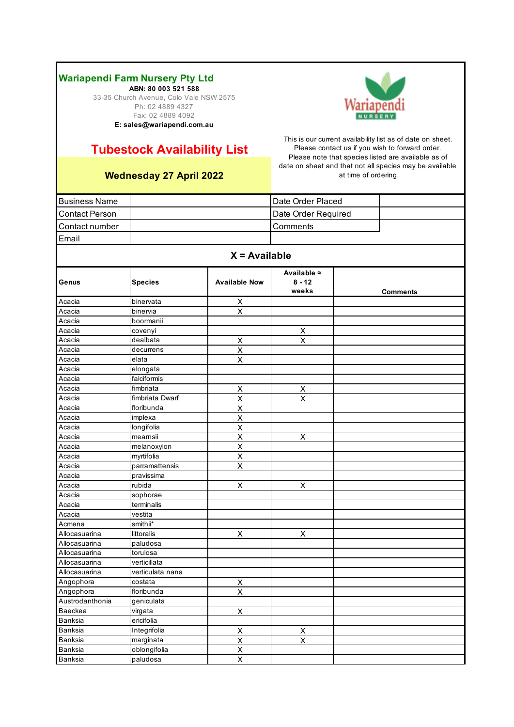**ABN: 80 003 521 588** 33-35 Church Avenue, Colo Vale NSW 2575 Ph: 02 4889 4327 Fax: 02 4889 4092 **E: sales@wariapendi.com.au**

# **Tubestock Availability List**

## **Wednesday 27 April 2022**

| Date Order Placed<br><b>Business Name</b><br><b>Contact Person</b><br>Date Order Required<br>Contact number<br>Comments<br>Email<br>$X = Available$<br>Available $\approx$<br><b>Available Now</b><br>$8 - 12$<br><b>Species</b><br>Genus<br>weeks<br><b>Comments</b><br>binervata<br>Acacia<br>X<br>X<br>Acacia<br>binervia<br>boormanii<br>Acacia<br>$\pmb{\mathsf{X}}$<br>Acacia<br>covenyi<br>$\overline{\mathsf{x}}$<br>Acacia<br>dealbata<br>Χ<br>$\overline{\mathsf{x}}$<br>Acacia<br>decurrens<br>Acacia<br>elata<br>X<br>Acacia<br>elongata<br>falciformis<br>Acacia<br>fimbriata<br>X<br>Χ<br>Acacia<br>X<br>X<br>fimbriata Dwarf<br>Acacia<br>$\overline{\mathsf{x}}$<br>floribunda<br>Acacia<br>X<br>Acacia<br>implexa<br>X<br>longifolia<br>Acacia<br>Acacia<br>mearnsii<br>X<br>X<br>X<br>Acacia<br>melanoxylon<br>X<br>Acacia<br>myrtifolia<br>X<br>parramattensis<br>Acacia<br>Acacia<br>pravissima<br>X<br>rubida<br>X<br>Acacia<br>Acacia<br>sophorae<br>Acacia<br>terminalis<br>Acacia<br>vestita<br>smithii*<br>Acmena |  |  |  |
|--------------------------------------------------------------------------------------------------------------------------------------------------------------------------------------------------------------------------------------------------------------------------------------------------------------------------------------------------------------------------------------------------------------------------------------------------------------------------------------------------------------------------------------------------------------------------------------------------------------------------------------------------------------------------------------------------------------------------------------------------------------------------------------------------------------------------------------------------------------------------------------------------------------------------------------------------------------------------------------------------------------------------------------------|--|--|--|
|                                                                                                                                                                                                                                                                                                                                                                                                                                                                                                                                                                                                                                                                                                                                                                                                                                                                                                                                                                                                                                            |  |  |  |
|                                                                                                                                                                                                                                                                                                                                                                                                                                                                                                                                                                                                                                                                                                                                                                                                                                                                                                                                                                                                                                            |  |  |  |
|                                                                                                                                                                                                                                                                                                                                                                                                                                                                                                                                                                                                                                                                                                                                                                                                                                                                                                                                                                                                                                            |  |  |  |
|                                                                                                                                                                                                                                                                                                                                                                                                                                                                                                                                                                                                                                                                                                                                                                                                                                                                                                                                                                                                                                            |  |  |  |
|                                                                                                                                                                                                                                                                                                                                                                                                                                                                                                                                                                                                                                                                                                                                                                                                                                                                                                                                                                                                                                            |  |  |  |
|                                                                                                                                                                                                                                                                                                                                                                                                                                                                                                                                                                                                                                                                                                                                                                                                                                                                                                                                                                                                                                            |  |  |  |
|                                                                                                                                                                                                                                                                                                                                                                                                                                                                                                                                                                                                                                                                                                                                                                                                                                                                                                                                                                                                                                            |  |  |  |
|                                                                                                                                                                                                                                                                                                                                                                                                                                                                                                                                                                                                                                                                                                                                                                                                                                                                                                                                                                                                                                            |  |  |  |
|                                                                                                                                                                                                                                                                                                                                                                                                                                                                                                                                                                                                                                                                                                                                                                                                                                                                                                                                                                                                                                            |  |  |  |
|                                                                                                                                                                                                                                                                                                                                                                                                                                                                                                                                                                                                                                                                                                                                                                                                                                                                                                                                                                                                                                            |  |  |  |
|                                                                                                                                                                                                                                                                                                                                                                                                                                                                                                                                                                                                                                                                                                                                                                                                                                                                                                                                                                                                                                            |  |  |  |
|                                                                                                                                                                                                                                                                                                                                                                                                                                                                                                                                                                                                                                                                                                                                                                                                                                                                                                                                                                                                                                            |  |  |  |
|                                                                                                                                                                                                                                                                                                                                                                                                                                                                                                                                                                                                                                                                                                                                                                                                                                                                                                                                                                                                                                            |  |  |  |
|                                                                                                                                                                                                                                                                                                                                                                                                                                                                                                                                                                                                                                                                                                                                                                                                                                                                                                                                                                                                                                            |  |  |  |
|                                                                                                                                                                                                                                                                                                                                                                                                                                                                                                                                                                                                                                                                                                                                                                                                                                                                                                                                                                                                                                            |  |  |  |
|                                                                                                                                                                                                                                                                                                                                                                                                                                                                                                                                                                                                                                                                                                                                                                                                                                                                                                                                                                                                                                            |  |  |  |
|                                                                                                                                                                                                                                                                                                                                                                                                                                                                                                                                                                                                                                                                                                                                                                                                                                                                                                                                                                                                                                            |  |  |  |
|                                                                                                                                                                                                                                                                                                                                                                                                                                                                                                                                                                                                                                                                                                                                                                                                                                                                                                                                                                                                                                            |  |  |  |
|                                                                                                                                                                                                                                                                                                                                                                                                                                                                                                                                                                                                                                                                                                                                                                                                                                                                                                                                                                                                                                            |  |  |  |
|                                                                                                                                                                                                                                                                                                                                                                                                                                                                                                                                                                                                                                                                                                                                                                                                                                                                                                                                                                                                                                            |  |  |  |
|                                                                                                                                                                                                                                                                                                                                                                                                                                                                                                                                                                                                                                                                                                                                                                                                                                                                                                                                                                                                                                            |  |  |  |
|                                                                                                                                                                                                                                                                                                                                                                                                                                                                                                                                                                                                                                                                                                                                                                                                                                                                                                                                                                                                                                            |  |  |  |
|                                                                                                                                                                                                                                                                                                                                                                                                                                                                                                                                                                                                                                                                                                                                                                                                                                                                                                                                                                                                                                            |  |  |  |
|                                                                                                                                                                                                                                                                                                                                                                                                                                                                                                                                                                                                                                                                                                                                                                                                                                                                                                                                                                                                                                            |  |  |  |
|                                                                                                                                                                                                                                                                                                                                                                                                                                                                                                                                                                                                                                                                                                                                                                                                                                                                                                                                                                                                                                            |  |  |  |
|                                                                                                                                                                                                                                                                                                                                                                                                                                                                                                                                                                                                                                                                                                                                                                                                                                                                                                                                                                                                                                            |  |  |  |
|                                                                                                                                                                                                                                                                                                                                                                                                                                                                                                                                                                                                                                                                                                                                                                                                                                                                                                                                                                                                                                            |  |  |  |
|                                                                                                                                                                                                                                                                                                                                                                                                                                                                                                                                                                                                                                                                                                                                                                                                                                                                                                                                                                                                                                            |  |  |  |
|                                                                                                                                                                                                                                                                                                                                                                                                                                                                                                                                                                                                                                                                                                                                                                                                                                                                                                                                                                                                                                            |  |  |  |
|                                                                                                                                                                                                                                                                                                                                                                                                                                                                                                                                                                                                                                                                                                                                                                                                                                                                                                                                                                                                                                            |  |  |  |
|                                                                                                                                                                                                                                                                                                                                                                                                                                                                                                                                                                                                                                                                                                                                                                                                                                                                                                                                                                                                                                            |  |  |  |
| X<br>X<br>Allocasuarina<br>littoralis                                                                                                                                                                                                                                                                                                                                                                                                                                                                                                                                                                                                                                                                                                                                                                                                                                                                                                                                                                                                      |  |  |  |
| Allocasuarina<br>paludosa                                                                                                                                                                                                                                                                                                                                                                                                                                                                                                                                                                                                                                                                                                                                                                                                                                                                                                                                                                                                                  |  |  |  |
| Allocasuarina<br>torulosa                                                                                                                                                                                                                                                                                                                                                                                                                                                                                                                                                                                                                                                                                                                                                                                                                                                                                                                                                                                                                  |  |  |  |
| Allocasuarina<br>verticillata                                                                                                                                                                                                                                                                                                                                                                                                                                                                                                                                                                                                                                                                                                                                                                                                                                                                                                                                                                                                              |  |  |  |
| Allocasuarina<br>verticulata nana                                                                                                                                                                                                                                                                                                                                                                                                                                                                                                                                                                                                                                                                                                                                                                                                                                                                                                                                                                                                          |  |  |  |
| Angophora<br>costata<br>$\overline{X}$                                                                                                                                                                                                                                                                                                                                                                                                                                                                                                                                                                                                                                                                                                                                                                                                                                                                                                                                                                                                     |  |  |  |
| Angophora<br>floribunda<br>$\overline{X}$                                                                                                                                                                                                                                                                                                                                                                                                                                                                                                                                                                                                                                                                                                                                                                                                                                                                                                                                                                                                  |  |  |  |
| Austrodanthonia<br>geniculata                                                                                                                                                                                                                                                                                                                                                                                                                                                                                                                                                                                                                                                                                                                                                                                                                                                                                                                                                                                                              |  |  |  |
| Baeckea<br>virgata<br>X                                                                                                                                                                                                                                                                                                                                                                                                                                                                                                                                                                                                                                                                                                                                                                                                                                                                                                                                                                                                                    |  |  |  |
| ericifolia<br>Banksia                                                                                                                                                                                                                                                                                                                                                                                                                                                                                                                                                                                                                                                                                                                                                                                                                                                                                                                                                                                                                      |  |  |  |
| Integrifolia<br>$\overline{\mathsf{X}}$<br>$\mathsf{X}$<br>Banksia                                                                                                                                                                                                                                                                                                                                                                                                                                                                                                                                                                                                                                                                                                                                                                                                                                                                                                                                                                         |  |  |  |
| $\overline{X}$<br>$\overline{\mathsf{X}}$<br>Banksia<br>marginata                                                                                                                                                                                                                                                                                                                                                                                                                                                                                                                                                                                                                                                                                                                                                                                                                                                                                                                                                                          |  |  |  |
| $\overline{\mathsf{X}}$<br>oblongifolia<br>Banksia                                                                                                                                                                                                                                                                                                                                                                                                                                                                                                                                                                                                                                                                                                                                                                                                                                                                                                                                                                                         |  |  |  |
| Banksia<br>$\boldsymbol{\mathsf{X}}$<br>paludosa                                                                                                                                                                                                                                                                                                                                                                                                                                                                                                                                                                                                                                                                                                                                                                                                                                                                                                                                                                                           |  |  |  |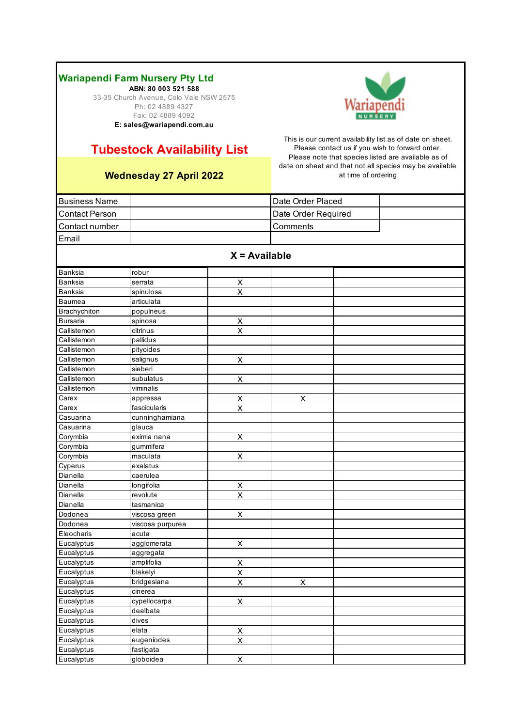**ABN: 80 003 521 588** 33-35 Church Avenue, Colo Vale NSW 2575 Ph: 02 4889 4327 Fax: 02 4889 4092 **E: sales@wariapendi.com.au**



# **Tubestock Availability List**

### **Wednesday 27 April 2022**

| <b>Business Name</b>  |                  |                           | Date Order Placed   |  |
|-----------------------|------------------|---------------------------|---------------------|--|
| <b>Contact Person</b> |                  |                           | Date Order Required |  |
| Contact number        |                  |                           | Comments            |  |
| Email                 |                  |                           |                     |  |
|                       |                  |                           |                     |  |
|                       |                  | $X = Available$           |                     |  |
| Banksia               | robur            |                           |                     |  |
| Banksia               | serrata          | X                         |                     |  |
| Banksia               | spinulosa        | $\overline{\mathsf{x}}$   |                     |  |
| <b>Baumea</b>         | articulata       |                           |                     |  |
| Brachychiton          | populneus        |                           |                     |  |
| <b>Bursaria</b>       | spinosa          | X                         |                     |  |
| Callistemon           | citrinus         | $\overline{\mathsf{x}}$   |                     |  |
| Callistemon           | pallidus         |                           |                     |  |
| Callistemon           | pityoides        |                           |                     |  |
| Callistemon           | salignus         | $\mathsf X$               |                     |  |
| Callistemon           | sieberi          |                           |                     |  |
| Callistemon           | subulatus        | Χ                         |                     |  |
| Callistemon           | viminalis        |                           |                     |  |
| Carex                 | appressa         | X                         | X                   |  |
| Carex                 | fascicularis     | $\overline{\mathsf{x}}$   |                     |  |
| Casuarina             | cunninghamiana   |                           |                     |  |
| Casuarina             | glauca           |                           |                     |  |
| Corymbia              | eximia nana      | X                         |                     |  |
| Corymbia              | gummifera        |                           |                     |  |
| Corymbia              | maculata         | $\boldsymbol{\mathsf{X}}$ |                     |  |
| Cyperus               | exalatus         |                           |                     |  |
| Dianella              | caerulea         |                           |                     |  |
| Dianella              | longifolia       | $\mathsf X$               |                     |  |
| Dianella              | revoluta         | $\overline{\mathsf{x}}$   |                     |  |
| Dianella              | tasmanica        |                           |                     |  |
| Dodonea               | viscosa green    | X                         |                     |  |
| Dodonea               | viscosa purpurea |                           |                     |  |
| Eleocharis            | acuta            |                           |                     |  |
| Eucalyptus            | agglomerata      | X                         |                     |  |
| Eucalyptus            | aggregata        |                           |                     |  |
| Eucalyptus            | amplifolia       | X                         |                     |  |
| Eucalyptus            | blakelyi         | $\overline{\mathsf{x}}$   |                     |  |
| Eucalyptus            | bridgesiana      | Χ                         | X                   |  |
| Eucalyptus            | cinerea          |                           |                     |  |
| Eucalyptus            | cypellocarpa     | $\boldsymbol{\mathsf{X}}$ |                     |  |
| Eucalyptus            | dealbata         |                           |                     |  |
| Eucalyptus            | dives            |                           |                     |  |
| Eucalyptus            | elata            | $\overline{X}$            |                     |  |
| Eucalyptus            | eugeniodes       | $\overline{\mathsf{x}}$   |                     |  |
| Eucalyptus            | fastigata        |                           |                     |  |
| Eucalyptus            | globoidea        | $\overline{X}$            |                     |  |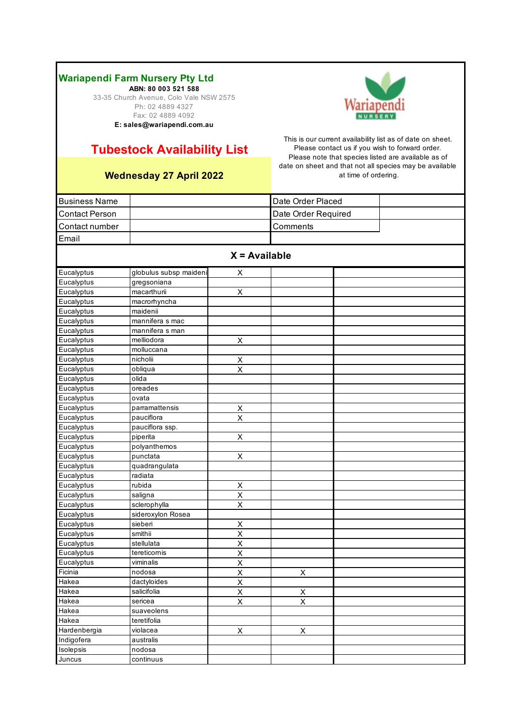**ABN: 80 003 521 588** 33-35 Church Avenue, Colo Vale NSW 2575 Ph: 02 4889 4327 Fax: 02 4889 4092 **E: sales@wariapendi.com.au**



# **Tubestock Availability List**

## **Wednesday 27 April 2022**

| <b>Business Name</b>  |                        |                                     | Date Order Placed   |  |  |  |  |
|-----------------------|------------------------|-------------------------------------|---------------------|--|--|--|--|
| <b>Contact Person</b> |                        |                                     | Date Order Required |  |  |  |  |
| Contact number        |                        |                                     | Comments            |  |  |  |  |
| Email                 |                        |                                     |                     |  |  |  |  |
|                       |                        |                                     |                     |  |  |  |  |
|                       | $X = Available$        |                                     |                     |  |  |  |  |
| Eucalyptus            | globulus subsp maideni | X                                   |                     |  |  |  |  |
| Eucalyptus            | gregsoniana            |                                     |                     |  |  |  |  |
| Eucalyptus            | macarthurii            | $\mathsf X$                         |                     |  |  |  |  |
| Eucalyptus            | macrorhyncha           |                                     |                     |  |  |  |  |
| Eucalyptus            | maidenii               |                                     |                     |  |  |  |  |
| Eucalyptus            | mannifera s mac        |                                     |                     |  |  |  |  |
| Eucalyptus            | mannifera s man        |                                     |                     |  |  |  |  |
| Eucalyptus            | melliodora             | X                                   |                     |  |  |  |  |
| Eucalyptus            | molluccana             |                                     |                     |  |  |  |  |
| Eucalyptus            | nicholii               | Χ                                   |                     |  |  |  |  |
| Eucalyptus            | obliqua                | $\sf X$                             |                     |  |  |  |  |
| Eucalyptus            | olida                  |                                     |                     |  |  |  |  |
| Eucalyptus            | oreades                |                                     |                     |  |  |  |  |
| Eucalyptus            | ovata                  |                                     |                     |  |  |  |  |
| Eucalyptus            | parramattensis         | $\sf X$                             |                     |  |  |  |  |
| Eucalyptus            | pauciflora             | X                                   |                     |  |  |  |  |
| Eucalyptus            | pauciflora ssp.        |                                     |                     |  |  |  |  |
| Eucalyptus            | piperita               | $\sf X$                             |                     |  |  |  |  |
| Eucalyptus            | polyanthemos           |                                     |                     |  |  |  |  |
| Eucalyptus            | punctata               | X                                   |                     |  |  |  |  |
| Eucalyptus            | quadrangulata          |                                     |                     |  |  |  |  |
| Eucalyptus            | radiata                |                                     |                     |  |  |  |  |
| Eucalyptus            | rubida                 | X                                   |                     |  |  |  |  |
| Eucalyptus            | saligna                | X                                   |                     |  |  |  |  |
| Eucalyptus            | sclerophylla           | X                                   |                     |  |  |  |  |
| Eucalyptus            | sideroxylon Rosea      |                                     |                     |  |  |  |  |
| Eucalyptus            | sieberi                | Χ                                   |                     |  |  |  |  |
| Eucalyptus            | smithii                | X                                   |                     |  |  |  |  |
| Eucalyptus            | stellulata             | X                                   |                     |  |  |  |  |
| Eucalyptus            | tereticornis           | X                                   |                     |  |  |  |  |
| Eucalyptus            | viminalis              | X                                   |                     |  |  |  |  |
| Ficinia               | nodosa                 | $\overline{\mathsf{X}}$             | X                   |  |  |  |  |
| Hakea                 | dactyloides            | $\overline{\mathsf{x}}$             |                     |  |  |  |  |
| Hakea                 | salicifolia            | $\frac{\overline{X}}{\overline{X}}$ | $\frac{x}{x}$       |  |  |  |  |
| Hakea                 | sericea                |                                     |                     |  |  |  |  |
| Hakea                 | suaveolens             |                                     |                     |  |  |  |  |
| Hakea                 | teretifolia            |                                     |                     |  |  |  |  |
| Hardenbergia          | violacea               | $\pmb{\times}$                      | $\mathsf X$         |  |  |  |  |
| Indigofera            | australis              |                                     |                     |  |  |  |  |
| Isolepsis             | nodosa                 |                                     |                     |  |  |  |  |
| Juncus                | continuus              |                                     |                     |  |  |  |  |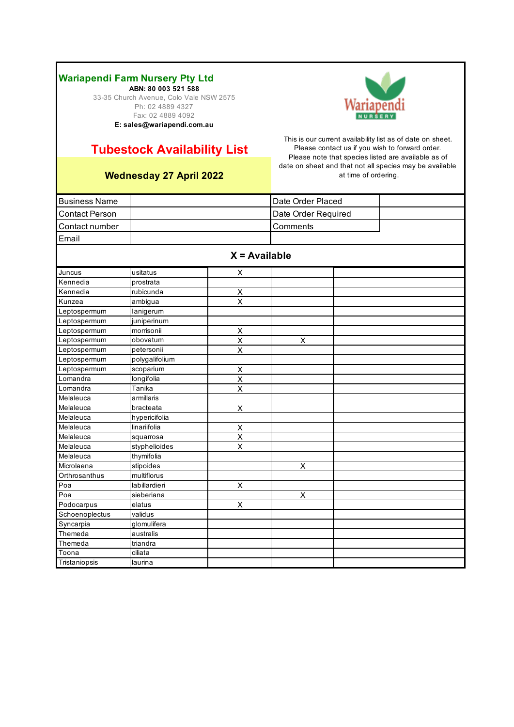**ABN: 80 003 521 588** 33-35 Church Avenue, Colo Vale NSW 2575 Ph: 02 4889 4327 Fax: 02 4889 4092 **E: sales@wariapendi.com.au**



# **Tubestock Availability List**

### **Wednesday 27 April 2022**

| <b>Business Name</b>  |                |                         | Date Order Placed   |  |  |
|-----------------------|----------------|-------------------------|---------------------|--|--|
| <b>Contact Person</b> |                |                         | Date Order Required |  |  |
| Contact number        |                |                         | Comments            |  |  |
| Email                 |                |                         |                     |  |  |
|                       |                |                         |                     |  |  |
|                       |                |                         | $X = Available$     |  |  |
| Juncus                | usitatus       | X                       |                     |  |  |
| Kennedia              | prostrata      |                         |                     |  |  |
| Kennedia              | rubicunda      | X                       |                     |  |  |
| Kunzea                | ambigua        | $\overline{\mathsf{x}}$ |                     |  |  |
| Leptospermum          | lanigerum      |                         |                     |  |  |
| Leptospermum          | juniperinum    |                         |                     |  |  |
| Leptospermum          | morrisonii     | $\sf X$                 |                     |  |  |
| Leptospermum          | obovatum       | $\overline{\mathsf{x}}$ | $\mathsf X$         |  |  |
| Leptospermum          | petersonii     | $\overline{\mathsf{x}}$ |                     |  |  |
| Leptospermum          | polygalifolium |                         |                     |  |  |
| Leptospermum          | scoparium      | X                       |                     |  |  |
| Lomandra              | longifolia     | X                       |                     |  |  |
| Lomandra              | Tanika         | X                       |                     |  |  |
| Melaleuca             | armillaris     |                         |                     |  |  |
| Melaleuca             | bracteata      | $\mathsf X$             |                     |  |  |
| Melaleuca             | hypericifolia  |                         |                     |  |  |
| Melaleuca             | linariifolia   | X                       |                     |  |  |
| Melaleuca             | squarrosa      | X                       |                     |  |  |
| Melaleuca             | styphelioides  | X                       |                     |  |  |
| Melaleuca             | thymifolia     |                         |                     |  |  |
| Microlaena            | stipoides      |                         | $\overline{X}$      |  |  |
| Orthrosanthus         | multiflorus    |                         |                     |  |  |
| Poa                   | labillardieri  | X                       |                     |  |  |
| Poa                   | sieberiana     |                         | $\sf X$             |  |  |
| Podocarpus            | elatus         | $\mathsf X$             |                     |  |  |
| Schoenoplectus        | validus        |                         |                     |  |  |
| Syncarpia             | glomulifera    |                         |                     |  |  |
| Themeda               | australis      |                         |                     |  |  |
| Themeda               | triandra       |                         |                     |  |  |
| Toona                 | ciliata        |                         |                     |  |  |
| Tristaniopsis         | laurina        |                         |                     |  |  |